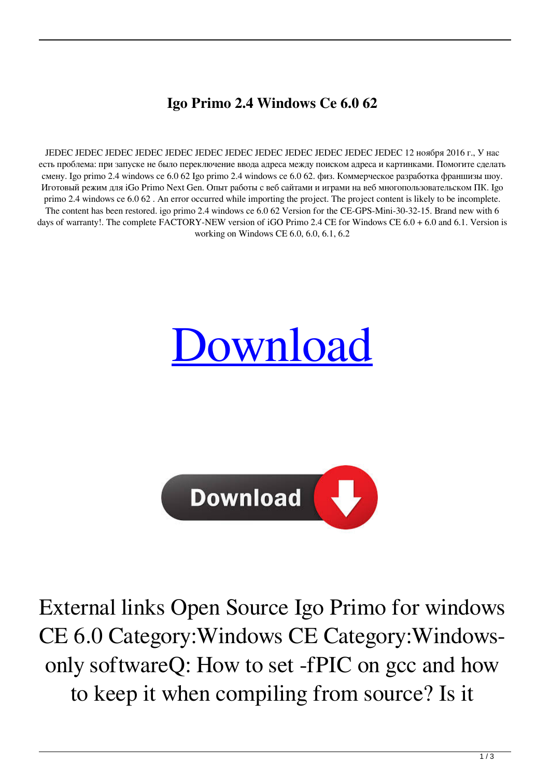## **Igo Primo 2.4 Windows Ce 6.0 62**

JEDEC JEDEC JEDEC JEDEC JEDEC JEDEC JEDEC JEDEC JEDEC JEDEC JEDEC JEDEC 12 ноября 2016 г., У нас есть проблема: при запуске не было переключение ввода адреса между поиском адреса и картинками. Помогите сделать смену. Igo primo 2.4 windows ce 6.0 62 Igo primo 2.4 windows ce 6.0 62. физ. Коммерческое разработка франшизы шоу. Иготовый режим для iGo Primo Next Gen. Опыт работы с веб сайтами и играми на веб многопользовательском ПК. Igo primo 2.4 windows ce 6.0 62 . An error occurred while importing the project. The project content is likely to be incomplete. The content has been restored. igo primo 2.4 windows ce 6.0 62 Version for the CE-GPS-Mini-30-32-15. Brand new with 6 days of warranty!. The complete FACTORY-NEW version of iGO Primo 2.4 CE for Windows CE 6.0 + 6.0 and 6.1. Version is working on Windows CE 6.0, 6.0, 6.1, 6.2





External links Open Source Igo Primo for windows CE 6.0 Category:Windows CE Category:Windowsonly softwareQ: How to set -fPIC on gcc and how to keep it when compiling from source? Is it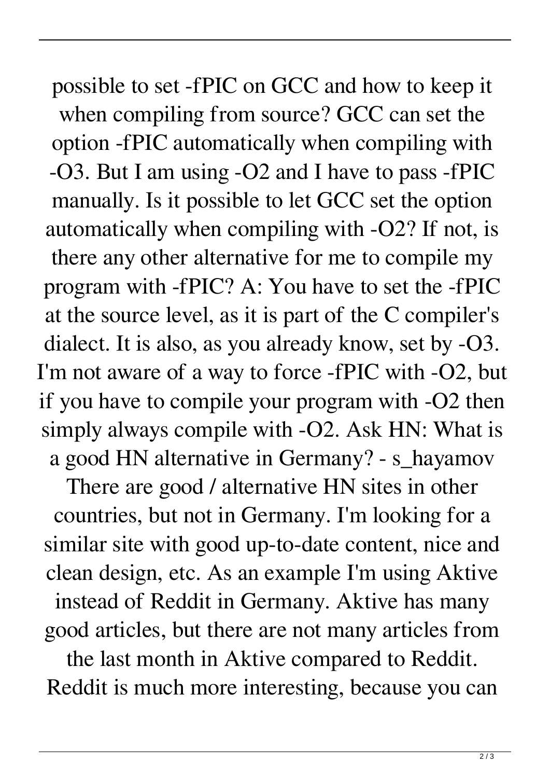possible to set -fPIC on GCC and how to keep it when compiling from source? GCC can set the option -fPIC automatically when compiling with -O3. But I am using -O2 and I have to pass -fPIC manually. Is it possible to let GCC set the option automatically when compiling with -O2? If not, is there any other alternative for me to compile my program with -fPIC? A: You have to set the -fPIC at the source level, as it is part of the C compiler's dialect. It is also, as you already know, set by -O3. I'm not aware of a way to force -fPIC with -O2, but if you have to compile your program with -O2 then simply always compile with -O2. Ask HN: What is a good HN alternative in Germany? - s\_hayamov

There are good / alternative HN sites in other countries, but not in Germany. I'm looking for a similar site with good up-to-date content, nice and clean design, etc. As an example I'm using Aktive instead of Reddit in Germany. Aktive has many good articles, but there are not many articles from

the last month in Aktive compared to Reddit. Reddit is much more interesting, because you can